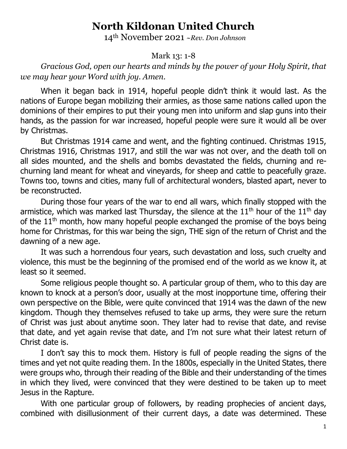## **North Kildonan United Church**

14th November 2021 *~Rev. Don Johnson*

## Mark 13: 1-8

*Gracious God, open our hearts and minds by the power of your Holy Spirit, that we may hear your Word with joy. Amen.*

When it began back in 1914, hopeful people didn't think it would last. As the nations of Europe began mobilizing their armies, as those same nations called upon the dominions of their empires to put their young men into uniform and slap guns into their hands, as the passion for war increased, hopeful people were sure it would all be over by Christmas.

But Christmas 1914 came and went, and the fighting continued. Christmas 1915, Christmas 1916, Christmas 1917, and still the war was not over, and the death toll on all sides mounted, and the shells and bombs devastated the fields, churning and rechurning land meant for wheat and vineyards, for sheep and cattle to peacefully graze. Towns too, towns and cities, many full of architectural wonders, blasted apart, never to be reconstructed.

During those four years of the war to end all wars, which finally stopped with the armistice, which was marked last Thursday, the silence at the  $11<sup>th</sup>$  hour of the  $11<sup>th</sup>$  day of the  $11<sup>th</sup>$  month, how many hopeful people exchanged the promise of the boys being home for Christmas, for this war being the sign, THE sign of the return of Christ and the dawning of a new age.

It was such a horrendous four years, such devastation and loss, such cruelty and violence, this must be the beginning of the promised end of the world as we know it, at least so it seemed.

Some religious people thought so. A particular group of them, who to this day are known to knock at a person's door, usually at the most inopportune time, offering their own perspective on the Bible, were quite convinced that 1914 was the dawn of the new kingdom. Though they themselves refused to take up arms, they were sure the return of Christ was just about anytime soon. They later had to revise that date, and revise that date, and yet again revise that date, and I'm not sure what their latest return of Christ date is.

I don't say this to mock them. History is full of people reading the signs of the times and yet not quite reading them. In the 1800s, especially in the United States, there were groups who, through their reading of the Bible and their understanding of the times in which they lived, were convinced that they were destined to be taken up to meet Jesus in the Rapture.

With one particular group of followers, by reading prophecies of ancient days, combined with disillusionment of their current days, a date was determined. These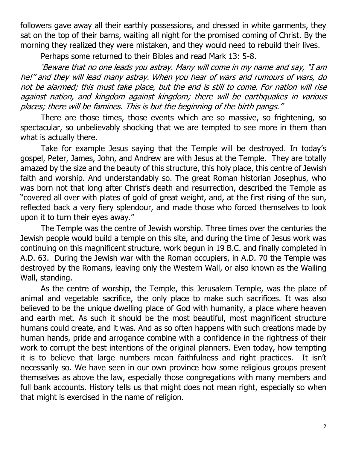followers gave away all their earthly possessions, and dressed in white garments, they sat on the top of their barns, waiting all night for the promised coming of Christ. By the morning they realized they were mistaken, and they would need to rebuild their lives.

Perhaps some returned to their Bibles and read Mark 13: 5-8.

'Beware that no one leads you astray. Many will come in my name and say, "I am he!" and they will lead many astray. When you hear of wars and rumours of wars, do not be alarmed; this must take place, but the end is still to come. For nation will rise against nation, and kingdom against kingdom; there will be earthquakes in various places; there will be famines. This is but the beginning of the birth pangs."

There are those times, those events which are so massive, so frightening, so spectacular, so unbelievably shocking that we are tempted to see more in them than what is actually there.

Take for example Jesus saying that the Temple will be destroyed. In today's gospel, Peter, James, John, and Andrew are with Jesus at the Temple. They are totally amazed by the size and the beauty of this structure, this holy place, this centre of Jewish faith and worship. And understandably so. The great Roman historian Josephus, who was born not that long after Christ's death and resurrection, described the Temple as "covered all over with plates of gold of great weight, and, at the first rising of the sun, reflected back a very fiery splendour, and made those who forced themselves to look upon it to turn their eyes away."

The Temple was the centre of Jewish worship. Three times over the centuries the Jewish people would build a temple on this site, and during the time of Jesus work was continuing on this magnificent structure, work begun in 19 B.C. and finally completed in A.D. 63. During the Jewish war with the Roman occupiers, in A.D. 70 the Temple was destroyed by the Romans, leaving only the Western Wall, or also known as the Wailing Wall, standing.

As the centre of worship, the Temple, this Jerusalem Temple, was the place of animal and vegetable sacrifice, the only place to make such sacrifices. It was also believed to be the unique dwelling place of God with humanity, a place where heaven and earth met. As such it should be the most beautiful, most magnificent structure humans could create, and it was. And as so often happens with such creations made by human hands, pride and arrogance combine with a confidence in the rightness of their work to corrupt the best intentions of the original planners. Even today, how tempting it is to believe that large numbers mean faithfulness and right practices. It isn't necessarily so. We have seen in our own province how some religious groups present themselves as above the law, especially those congregations with many members and full bank accounts. History tells us that might does not mean right, especially so when that might is exercised in the name of religion.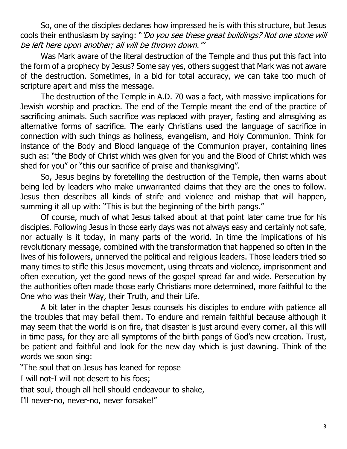So, one of the disciples declares how impressed he is with this structure, but Jesus cools their enthusiasm by saying: "*'Do you see these great buildings? Not one stone will* be left here upon another; all will be thrown down.'"

Was Mark aware of the literal destruction of the Temple and thus put this fact into the form of a prophecy by Jesus? Some say yes, others suggest that Mark was not aware of the destruction. Sometimes, in a bid for total accuracy, we can take too much of scripture apart and miss the message.

The destruction of the Temple in A.D. 70 was a fact, with massive implications for Jewish worship and practice. The end of the Temple meant the end of the practice of sacrificing animals. Such sacrifice was replaced with prayer, fasting and almsgiving as alternative forms of sacrifice. The early Christians used the language of sacrifice in connection with such things as holiness, evangelism, and Holy Communion. Think for instance of the Body and Blood language of the Communion prayer, containing lines such as: "the Body of Christ which was given for you and the Blood of Christ which was shed for you" or "this our sacrifice of praise and thanksgiving".

So, Jesus begins by foretelling the destruction of the Temple, then warns about being led by leaders who make unwarranted claims that they are the ones to follow. Jesus then describes all kinds of strife and violence and mishap that will happen, summing it all up with: "This is but the beginning of the birth pangs."

Of course, much of what Jesus talked about at that point later came true for his disciples. Following Jesus in those early days was not always easy and certainly not safe, nor actually is it today, in many parts of the world. In time the implications of his revolutionary message, combined with the transformation that happened so often in the lives of his followers, unnerved the political and religious leaders. Those leaders tried so many times to stifle this Jesus movement, using threats and violence, imprisonment and often execution, yet the good news of the gospel spread far and wide. Persecution by the authorities often made those early Christians more determined, more faithful to the One who was their Way, their Truth, and their Life.

A bit later in the chapter Jesus counsels his disciples to endure with patience all the troubles that may befall them. To endure and remain faithful because although it may seem that the world is on fire, that disaster is just around every corner, all this will in time pass, for they are all symptoms of the birth pangs of God's new creation. Trust, be patient and faithful and look for the new day which is just dawning. Think of the words we soon sing:

"The soul that on Jesus has leaned for repose

I will not-I will not desert to his foes;

that soul, though all hell should endeavour to shake,

I'll never-no, never-no, never forsake!"